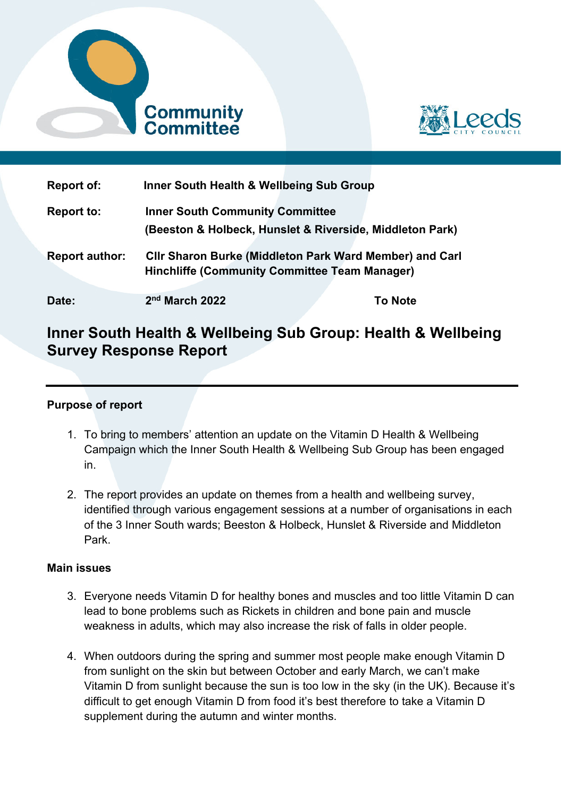



| <b>Report of:</b>     | Inner South Health & Wellbeing Sub Group                                                                               |                |
|-----------------------|------------------------------------------------------------------------------------------------------------------------|----------------|
| <b>Report to:</b>     | <b>Inner South Community Committee</b><br>(Beeston & Holbeck, Hunslet & Riverside, Middleton Park)                     |                |
| <b>Report author:</b> | <b>CIIr Sharon Burke (Middleton Park Ward Member) and Carl</b><br><b>Hinchliffe (Community Committee Team Manager)</b> |                |
| Date:                 | 2 <sup>nd</sup> March 2022                                                                                             | <b>To Note</b> |

# **Inner South Health & Wellbeing Sub Group: Health & Wellbeing Survey Response Report**

# **Purpose of report**

- 1. To bring to members' attention an update on the Vitamin D Health & Wellbeing Campaign which the Inner South Health & Wellbeing Sub Group has been engaged in.
- 2. The report provides an update on themes from a health and wellbeing survey, identified through various engagement sessions at a number of organisations in each of the 3 Inner South wards; Beeston & Holbeck, Hunslet & Riverside and Middleton Park.

# **Main issues**

- 3. Everyone needs Vitamin D for healthy bones and muscles and too little Vitamin D can lead to bone problems such as Rickets in children and bone pain and muscle weakness in adults, which may also increase the risk of falls in older people.
- 4. When outdoors during the spring and summer most people make enough Vitamin D from sunlight on the skin but between October and early March, we can't make Vitamin D from sunlight because the sun is too low in the sky (in the UK). Because it's difficult to get enough Vitamin D from food it's best therefore to take a Vitamin D supplement during the autumn and winter months.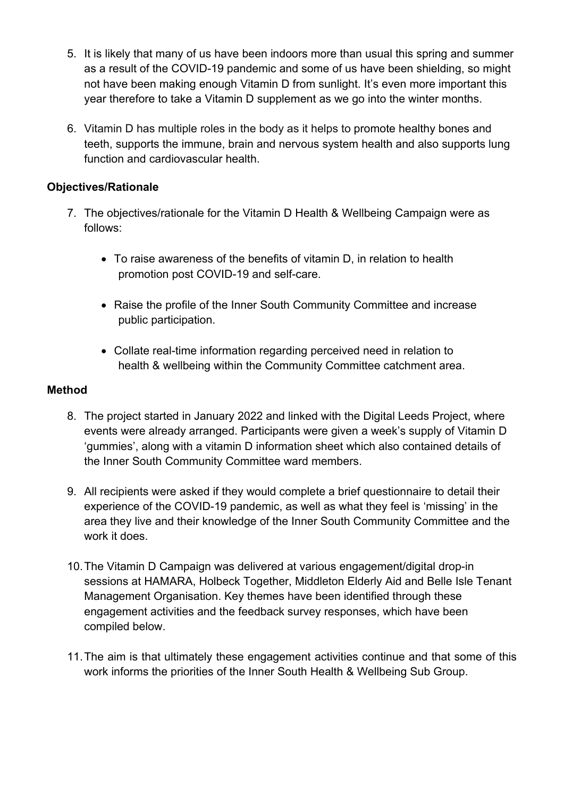- 5. It is likely that many of us have been indoors more than usual this spring and summer as a result of the COVID-19 pandemic and some of us have been shielding, so might not have been making enough Vitamin D from sunlight. It's even more important this year therefore to take a Vitamin D supplement as we go into the winter months.
- 6. Vitamin D has multiple roles in the body as it helps to promote healthy bones and teeth, supports the immune, brain and nervous system health and also supports lung function and cardiovascular health.

# **Objectives/Rationale**

- 7. The objectives/rationale for the Vitamin D Health & Wellbeing Campaign were as follows:
	- To raise awareness of the benefits of vitamin D, in relation to health promotion post COVID-19 and self-care.
	- Raise the profile of the Inner South Community Committee and increase public participation.
	- Collate real-time information regarding perceived need in relation to health & wellbeing within the Community Committee catchment area.

### **Method**

- 8. The project started in January 2022 and linked with the Digital Leeds Project, where events were already arranged. Participants were given a week's supply of Vitamin D 'gummies', along with a vitamin D information sheet which also contained details of the Inner South Community Committee ward members.
- 9. All recipients were asked if they would complete a brief questionnaire to detail their experience of the COVID-19 pandemic, as well as what they feel is 'missing' in the area they live and their knowledge of the Inner South Community Committee and the work it does.
- 10. The Vitamin D Campaign was delivered at various engagement/digital drop-in sessions at HAMARA, Holbeck Together, Middleton Elderly Aid and Belle Isle Tenant Management Organisation. Key themes have been identified through these engagement activities and the feedback survey responses, which have been compiled below.
- 11. The aim is that ultimately these engagement activities continue and that some of this work informs the priorities of the Inner South Health & Wellbeing Sub Group.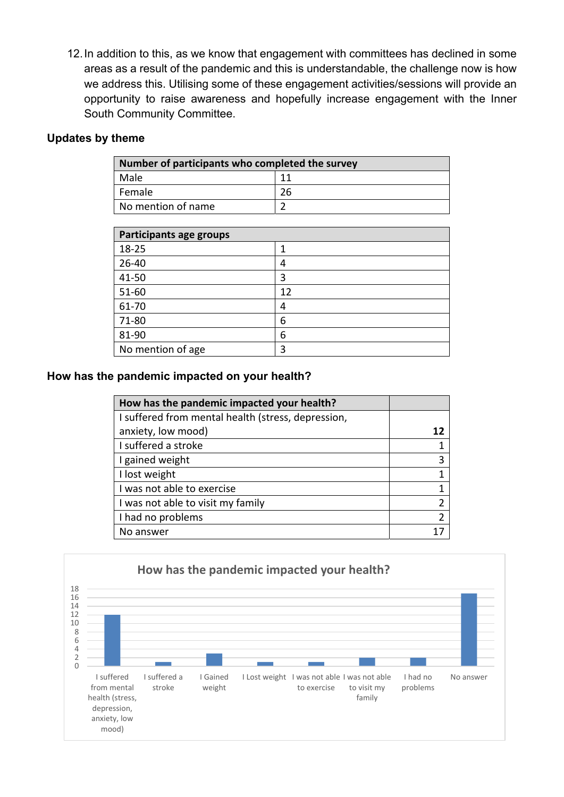12. In addition to this, as we know that engagement with committees has declined in some areas as a result of the pandemic and this is understandable, the challenge now is how we address this. Utilising some of these engagement activities/sessions will provide an opportunity to raise awareness and hopefully increase engagement with the Inner South Community Committee.

### **Updates by theme**

| Number of participants who completed the survey |    |  |  |  |
|-------------------------------------------------|----|--|--|--|
| Male                                            | 11 |  |  |  |
| Female                                          | 26 |  |  |  |
| No mention of name                              |    |  |  |  |

| Participants age groups |    |  |  |
|-------------------------|----|--|--|
| 18-25                   |    |  |  |
| 26-40                   | 4  |  |  |
| 41-50                   | 3  |  |  |
| 51-60                   | 12 |  |  |
| 61-70                   | 4  |  |  |
| 71-80                   | 6  |  |  |
| 81-90                   | 6  |  |  |
| No mention of age       | ς  |  |  |

### **How has the pandemic impacted on your health?**

| How has the pandemic impacted your health?         |                |
|----------------------------------------------------|----------------|
| I suffered from mental health (stress, depression, |                |
| anxiety, low mood)                                 | 12             |
| I suffered a stroke                                |                |
| I gained weight                                    | 3              |
| I lost weight                                      | 1              |
| I was not able to exercise                         | 1              |
| I was not able to visit my family                  | 2              |
| I had no problems                                  | $\overline{2}$ |
| No answer                                          |                |

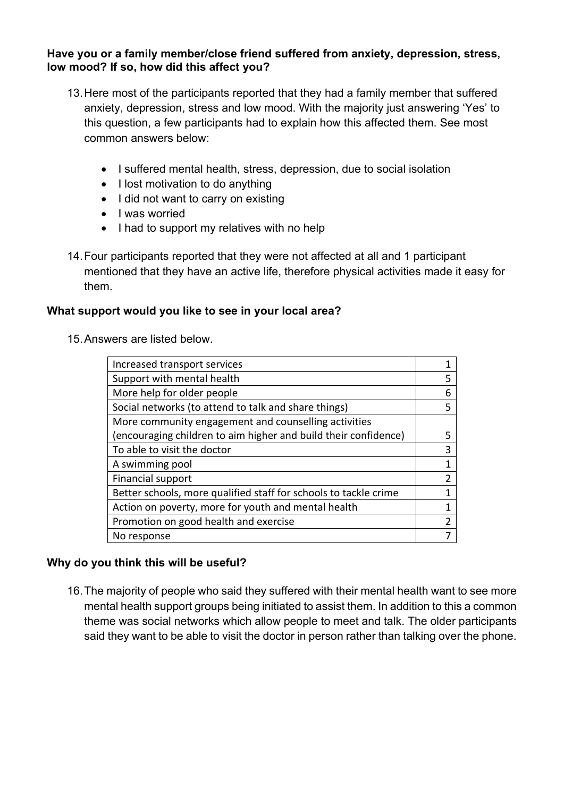### **Have you or a family member/close friend suffered from anxiety, depression, stress, low mood? If so, how did this affect you?**

- 13. Here most of the participants reported that they had a family member that suffered anxiety, depression, stress and low mood. With the majority just answering 'Yes' to this question, a few participants had to explain how this affected them. See most common answers below:
	- I suffered mental health, stress, depression, due to social isolation
	- $\bullet$  I lost motivation to do anything
	- I did not want to carry on existing
	- I was worried
	- I had to support my relatives with no help
- 14. Four participants reported that they were not affected at all and 1 participant mentioned that they have an active life, therefore physical activities made it easy for them.

# **What support would you like to see in your local area?**

15. Answers are listed below.

| Increased transport services                                     |    |  |
|------------------------------------------------------------------|----|--|
| Support with mental health                                       |    |  |
| More help for older people                                       |    |  |
| Social networks (to attend to talk and share things)             |    |  |
| More community engagement and counselling activities             |    |  |
| (encouraging children to aim higher and build their confidence)  | 5. |  |
| To able to visit the doctor                                      | 3  |  |
| A swimming pool                                                  | 1  |  |
| Financial support                                                | 2  |  |
| Better schools, more qualified staff for schools to tackle crime | 1  |  |
| Action on poverty, more for youth and mental health              | 1  |  |
| Promotion on good health and exercise                            |    |  |
| No response                                                      |    |  |

# **Why do you think this will be useful?**

16. The majority of people who said they suffered with their mental health want to see more mental health support groups being initiated to assist them. In addition to this a common theme was social networks which allow people to meet and talk. The older participants said they want to be able to visit the doctor in person rather than talking over the phone.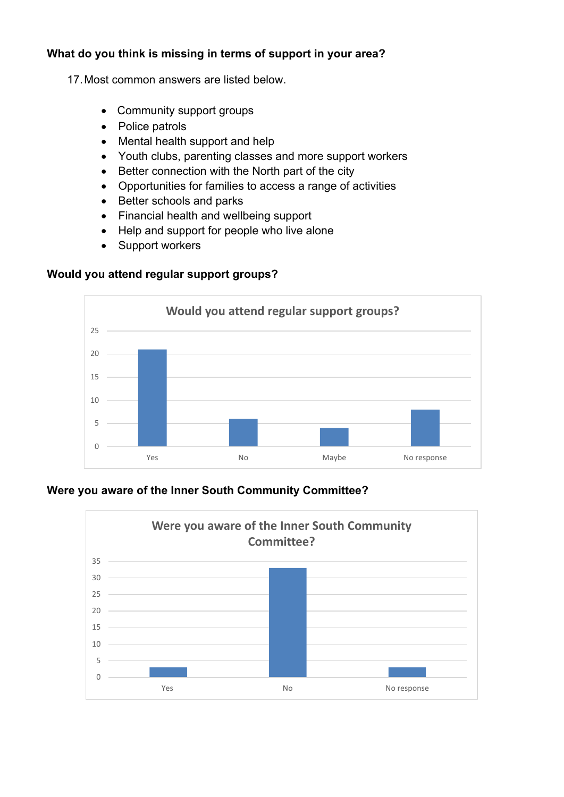# **What do you think is missing in terms of support in your area?**

17. Most common answers are listed below.

- Community support groups
- Police patrols
- Mental health support and help
- Youth clubs, parenting classes and more support workers
- Better connection with the North part of the city
- Opportunities for families to access a range of activities
- Better schools and parks
- Financial health and wellbeing support
- Help and support for people who live alone
- Support workers

# **Would you attend regular support groups?**



# **Were you aware of the Inner South Community Committee?**

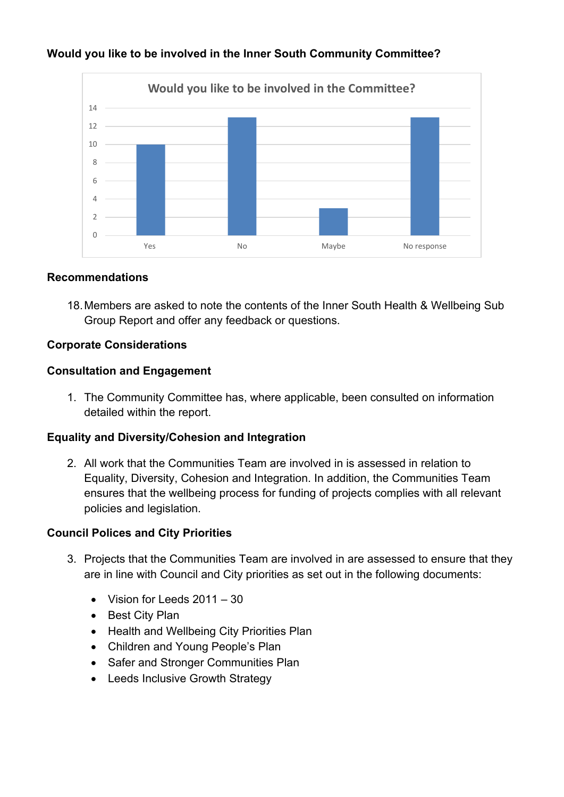

# **Would you like to be involved in the Inner South Community Committee?**

#### **Recommendations**

18. Members are asked to note the contents of the Inner South Health & Wellbeing Sub Group Report and offer any feedback or questions.

# **Corporate Considerations**

### **Consultation and Engagement**

1. The Community Committee has, where applicable, been consulted on information detailed within the report.

#### **Equality and Diversity/Cohesion and Integration**

2. All work that the Communities Team are involved in is assessed in relation to Equality, Diversity, Cohesion and Integration. In addition, the Communities Team ensures that the wellbeing process for funding of projects complies with all relevant policies and legislation.

#### **Council Polices and City Priorities**

- 3. Projects that the Communities Team are involved in are assessed to ensure that they are in line with Council and City priorities as set out in the following documents:
	- Vision for Leeds 2011 30
	- Best City Plan
	- Health and Wellbeing City Priorities Plan
	- Children and Young People's Plan
	- Safer and Stronger Communities Plan
	- Leeds Inclusive Growth Strategy